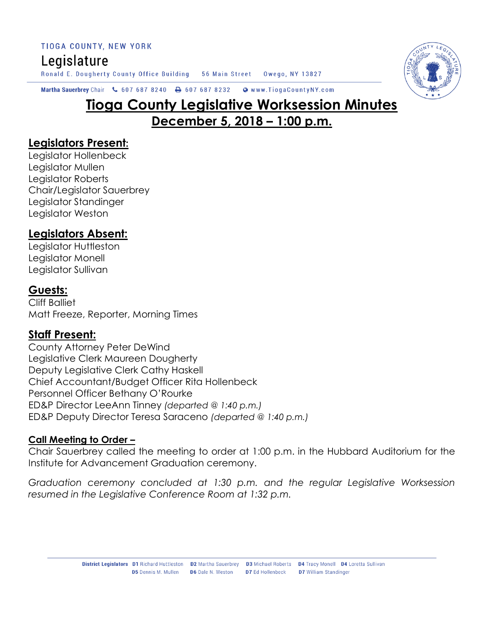TIOGA COUNTY, NEW YORK

# Legislature

Ronald E. Dougherty County Office Building 56 Main Street Owego, NY 13827



Martha Sauerbrey Chair & 607 687 8240 & 607 687 8232 Www.TiogaCountyNY.com

# **Tioga County Legislative Worksession Minutes December 5, 2018 – 1:00 p.m.**

### **Legislators Present:**

Legislator Hollenbeck Legislator Mullen Legislator Roberts Chair/Legislator Sauerbrey Legislator Standinger Legislator Weston

# **Legislators Absent:**

Legislator Huttleston Legislator Monell Legislator Sullivan

## **Guests:**

Cliff Balliet Matt Freeze, Reporter, Morning Times

#### **Staff Present:**

County Attorney Peter DeWind Legislative Clerk Maureen Dougherty Deputy Legislative Clerk Cathy Haskell Chief Accountant/Budget Officer Rita Hollenbeck Personnel Officer Bethany O'Rourke ED&P Director LeeAnn Tinney *(departed @ 1:40 p.m.)* ED&P Deputy Director Teresa Saraceno *(departed @ 1:40 p.m.)*

#### **Call Meeting to Order –**

Chair Sauerbrey called the meeting to order at 1:00 p.m. in the Hubbard Auditorium for the Institute for Advancement Graduation ceremony.

*Graduation ceremony concluded at 1:30 p.m. and the regular Legislative Worksession resumed in the Legislative Conference Room at 1:32 p.m.*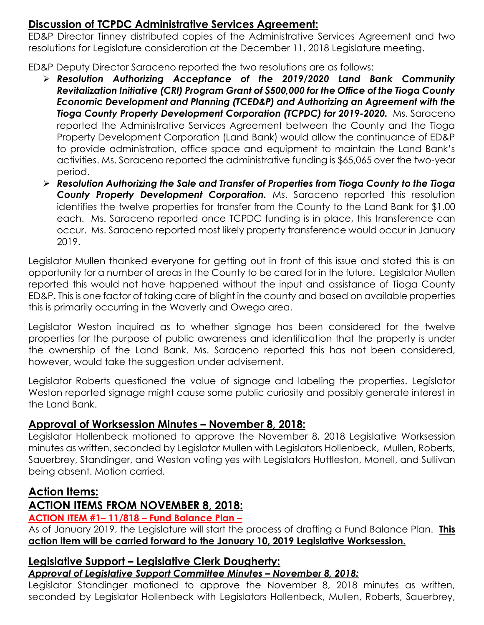### **Discussion of TCPDC Administrative Services Agreement:**

ED&P Director Tinney distributed copies of the Administrative Services Agreement and two resolutions for Legislature consideration at the December 11, 2018 Legislature meeting.

ED&P Deputy Director Saraceno reported the two resolutions are as follows:

- *Resolution Authorizing Acceptance of the 2019/2020 Land Bank Community Revitalization Initiative (CRI) Program Grant of \$500,000 for the Office of the Tioga County Economic Development and Planning (TCED&P) and Authorizing an Agreement with the*  **Tioga County Property Development Corporation (TCPDC) for 2019-2020.** Ms. Saraceno reported the Administrative Services Agreement between the County and the Tioga Property Development Corporation (Land Bank) would allow the continuance of ED&P to provide administration, office space and equipment to maintain the Land Bank's activities. Ms. Saraceno reported the administrative funding is \$65,065 over the two-year period.
- *Resolution Authorizing the Sale and Transfer of Properties from Tioga County to the Tioga County Property Development Corporation.* Ms. Saraceno reported this resolution identifies the twelve properties for transfer from the County to the Land Bank for \$1.00 each. Ms. Saraceno reported once TCPDC funding is in place, this transference can occur. Ms. Saraceno reported most likely property transference would occur in January 2019.

Legislator Mullen thanked everyone for getting out in front of this issue and stated this is an opportunity for a number of areas in the County to be cared for in the future. Legislator Mullen reported this would not have happened without the input and assistance of Tioga County ED&P. This is one factor of taking care of blight in the county and based on available properties this is primarily occurring in the Waverly and Owego area.

Legislator Weston inquired as to whether signage has been considered for the twelve properties for the purpose of public awareness and identification that the property is under the ownership of the Land Bank. Ms. Saraceno reported this has not been considered, however, would take the suggestion under advisement.

Legislator Roberts questioned the value of signage and labeling the properties. Legislator Weston reported signage might cause some public curiosity and possibly generate interest in the Land Bank.

## **Approval of Worksession Minutes – November 8, 2018:**

Legislator Hollenbeck motioned to approve the November 8, 2018 Legislative Worksession minutes as written, seconded by Legislator Mullen with Legislators Hollenbeck, Mullen, Roberts, Sauerbrey, Standinger, and Weston voting yes with Legislators Huttleston, Monell, and Sullivan being absent. Motion carried.

# **Action Items:**

# **ACTION ITEMS FROM NOVEMBER 8, 2018:**

## **ACTION ITEM #1– 11/818 – Fund Balance Plan –**

As of January 2019, the Legislature will start the process of drafting a Fund Balance Plan. **This action item will be carried forward to the January 10, 2019 Legislative Worksession.** 

## **Legislative Support – Legislative Clerk Dougherty:**

#### *Approval of Legislative Support Committee Minutes – November 8, 2018:*

Legislator Standinger motioned to approve the November 8, 2018 minutes as written, seconded by Legislator Hollenbeck with Legislators Hollenbeck, Mullen, Roberts, Sauerbrey,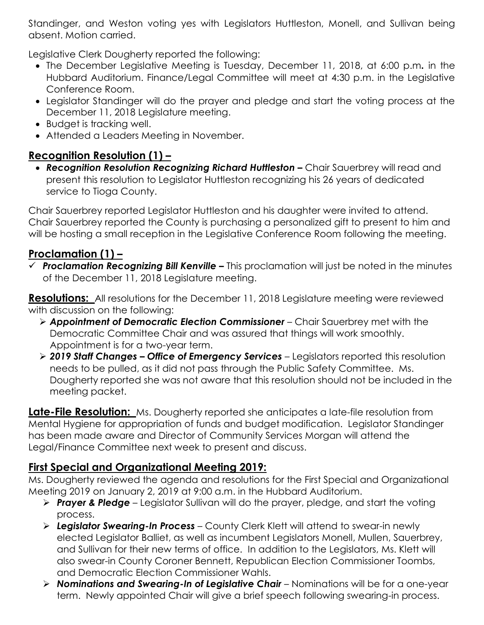Standinger, and Weston voting yes with Legislators Huttleston, Monell, and Sullivan being absent. Motion carried.

Legislative Clerk Dougherty reported the following:

- The December Legislative Meeting is Tuesday, December 11, 2018, at 6:00 p.m*.* in the Hubbard Auditorium. Finance/Legal Committee will meet at 4:30 p.m. in the Legislative Conference Room.
- Legislator Standinger will do the prayer and pledge and start the voting process at the December 11, 2018 Legislature meeting.
- Budget is tracking well.
- Attended a Leaders Meeting in November.

# **Recognition Resolution (1) –**

**• Recognition Resolution Recognizing Richard Huttleston –** Chair Sauerbrey will read and present this resolution to Legislator Huttleston recognizing his 26 years of dedicated service to Tioga County.

Chair Sauerbrey reported Legislator Huttleston and his daughter were invited to attend. Chair Sauerbrey reported the County is purchasing a personalized gift to present to him and will be hosting a small reception in the Legislative Conference Room following the meeting.

# **Proclamation (1) –**

 *Proclamation Recognizing Bill Kenville –* This proclamation will just be noted in the minutes of the December 11, 2018 Legislature meeting.

**Resolutions:** All resolutions for the December 11, 2018 Legislature meeting were reviewed with discussion on the following:

- *Appointment of Democratic Election Commissioner* Chair Sauerbrey met with the Democratic Committee Chair and was assured that things will work smoothly. Appointment is for a two-year term.
- *2019 Staff Changes – Office of Emergency Services* Legislators reported this resolution needs to be pulled, as it did not pass through the Public Safety Committee. Ms. Dougherty reported she was not aware that this resolution should not be included in the meeting packet.

**Late-File Resolution:** Ms. Dougherty reported she anticipates a late-file resolution from Mental Hygiene for appropriation of funds and budget modification. Legislator Standinger has been made aware and Director of Community Services Morgan will attend the Legal/Finance Committee next week to present and discuss.

## **First Special and Organizational Meeting 2019:**

Ms. Dougherty reviewed the agenda and resolutions for the First Special and Organizational Meeting 2019 on January 2, 2019 at 9:00 a.m. in the Hubbard Auditorium.

- *Prayer & Pledge* Legislator Sullivan will do the prayer, pledge, and start the voting process.
- *Legislator Swearing-In Process* County Clerk Klett will attend to swear-in newly elected Legislator Balliet, as well as incumbent Legislators Monell, Mullen, Sauerbrey, and Sullivan for their new terms of office. In addition to the Legislators, Ms. Klett will also swear-in County Coroner Bennett, Republican Election Commissioner Toombs, and Democratic Election Commissioner Wahls.
- *Nominations and Swearing-In of Legislative Chair* Nominations will be for a one-year term. Newly appointed Chair will give a brief speech following swearing-in process.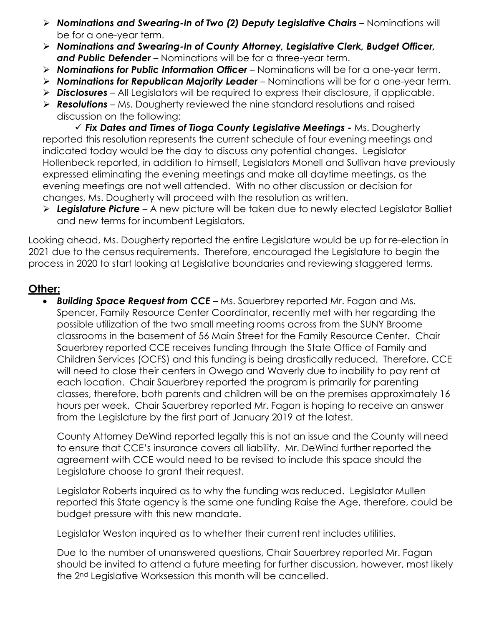- *Nominations and Swearing-In of Two (2) Deputy Legislative Chairs* Nominations will be for a one-year term.
- *Nominations and Swearing-In of County Attorney, Legislative Clerk, Budget Officer, and Public Defender* – Nominations will be for a three-year term.
- *Nominations for Public Information Officer* Nominations will be for a one-year term.
- *Nominations for Republican Majority Leader* Nominations will be for a one-year term.
- *Disclosures* All Legislators will be required to express their disclosure, if applicable.
- *Resolutions* Ms. Dougherty reviewed the nine standard resolutions and raised discussion on the following:

 *Fix Dates and Times of Tioga County Legislative Meetings -* Ms. Dougherty reported this resolution represents the current schedule of four evening meetings and indicated today would be the day to discuss any potential changes. Legislator Hollenbeck reported, in addition to himself, Legislators Monell and Sullivan have previously expressed eliminating the evening meetings and make all daytime meetings, as the evening meetings are not well attended. With no other discussion or decision for changes, Ms. Dougherty will proceed with the resolution as written.

 *Legislature Picture* – A new picture will be taken due to newly elected Legislator Balliet and new terms for incumbent Legislators.

Looking ahead, Ms. Dougherty reported the entire Legislature would be up for re-election in 2021 due to the census requirements. Therefore, encouraged the Legislature to begin the process in 2020 to start looking at Legislative boundaries and reviewing staggered terms.

#### **Other:**

 *Building Space Request from CCE* – Ms. Sauerbrey reported Mr. Fagan and Ms. Spencer, Family Resource Center Coordinator, recently met with her regarding the possible utilization of the two small meeting rooms across from the SUNY Broome classrooms in the basement of 56 Main Street for the Family Resource Center. Chair Sauerbrey reported CCE receives funding through the State Office of Family and Children Services (OCFS) and this funding is being drastically reduced. Therefore, CCE will need to close their centers in Owego and Waverly due to inability to pay rent at each location. Chair Sauerbrey reported the program is primarily for parenting classes, therefore, both parents and children will be on the premises approximately 16 hours per week. Chair Sauerbrey reported Mr. Fagan is hoping to receive an answer from the Legislature by the first part of January 2019 at the latest.

County Attorney DeWind reported legally this is not an issue and the County will need to ensure that CCE's insurance covers all liability. Mr. DeWind further reported the agreement with CCE would need to be revised to include this space should the Legislature choose to grant their request.

Legislator Roberts inquired as to why the funding was reduced. Legislator Mullen reported this State agency is the same one funding Raise the Age, therefore, could be budget pressure with this new mandate.

Legislator Weston inquired as to whether their current rent includes utilities.

Due to the number of unanswered questions, Chair Sauerbrey reported Mr. Fagan should be invited to attend a future meeting for further discussion, however, most likely the 2nd Legislative Worksession this month will be cancelled.